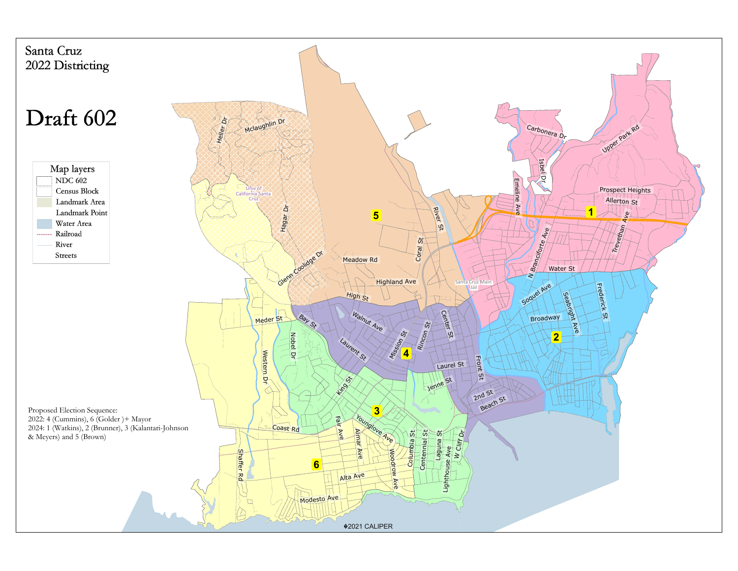